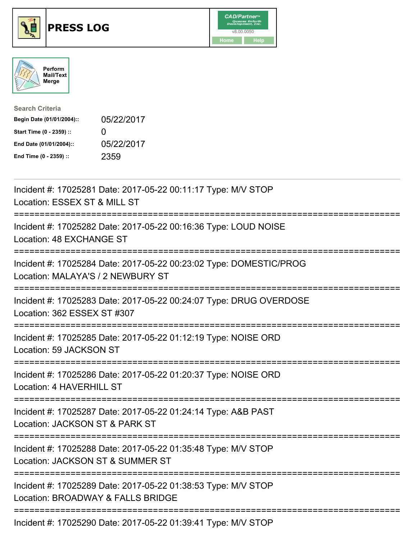





| <b>Search Criteria</b>    |                   |
|---------------------------|-------------------|
| Begin Date (01/01/2004):: | 05/22/2017        |
| Start Time (0 - 2359) ::  | $\mathbf{\Omega}$ |
| End Date (01/01/2004)::   | 05/22/2017        |
| End Time (0 - 2359) ::    | 2359              |

| Incident #: 17025281 Date: 2017-05-22 00:11:17 Type: M/V STOP<br>Location: ESSEX ST & MILL ST<br>===========                       |
|------------------------------------------------------------------------------------------------------------------------------------|
| Incident #: 17025282 Date: 2017-05-22 00:16:36 Type: LOUD NOISE<br>Location: 48 EXCHANGE ST<br>--------------                      |
| Incident #: 17025284 Date: 2017-05-22 00:23:02 Type: DOMESTIC/PROG<br>Location: MALAYA'S / 2 NEWBURY ST<br>:====================== |
| Incident #: 17025283 Date: 2017-05-22 00:24:07 Type: DRUG OVERDOSE<br>Location: 362 ESSEX ST #307                                  |
| Incident #: 17025285 Date: 2017-05-22 01:12:19 Type: NOISE ORD<br>Location: 59 JACKSON ST                                          |
| Incident #: 17025286 Date: 2017-05-22 01:20:37 Type: NOISE ORD<br>Location: 4 HAVERHILL ST                                         |
| Incident #: 17025287 Date: 2017-05-22 01:24:14 Type: A&B PAST<br>Location: JACKSON ST & PARK ST                                    |
| Incident #: 17025288 Date: 2017-05-22 01:35:48 Type: M/V STOP<br>Location: JACKSON ST & SUMMER ST                                  |
| Incident #: 17025289 Date: 2017-05-22 01:38:53 Type: M/V STOP<br>Location: BROADWAY & FALLS BRIDGE                                 |
| Incident #: 17025290 Date: 2017-05-22 01:39:41 Type: M/V STOP                                                                      |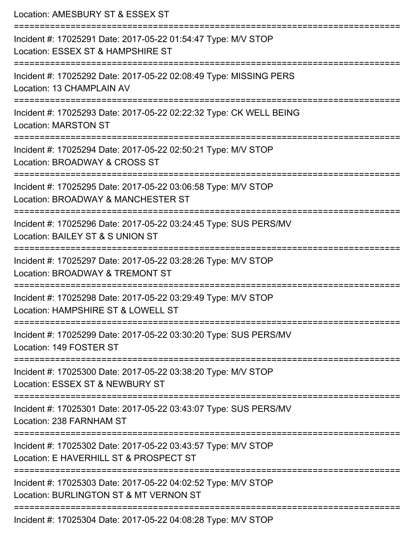| Location: AMESBURY ST & ESSEX ST<br>------------------------                                                                         |
|--------------------------------------------------------------------------------------------------------------------------------------|
| Incident #: 17025291 Date: 2017-05-22 01:54:47 Type: M/V STOP<br>Location: ESSEX ST & HAMPSHIRE ST                                   |
| Incident #: 17025292 Date: 2017-05-22 02:08:49 Type: MISSING PERS<br>Location: 13 CHAMPLAIN AV<br>================================   |
| Incident #: 17025293 Date: 2017-05-22 02:22:32 Type: CK WELL BEING<br><b>Location: MARSTON ST</b>                                    |
| Incident #: 17025294 Date: 2017-05-22 02:50:21 Type: M/V STOP<br>Location: BROADWAY & CROSS ST                                       |
| Incident #: 17025295 Date: 2017-05-22 03:06:58 Type: M/V STOP<br>Location: BROADWAY & MANCHESTER ST                                  |
| ============================<br>Incident #: 17025296 Date: 2017-05-22 03:24:45 Type: SUS PERS/MV<br>Location: BAILEY ST & S UNION ST |
| Incident #: 17025297 Date: 2017-05-22 03:28:26 Type: M/V STOP<br>Location: BROADWAY & TREMONT ST<br>--------------------------       |
| Incident #: 17025298 Date: 2017-05-22 03:29:49 Type: M/V STOP<br>Location: HAMPSHIRE ST & LOWELL ST                                  |
| Incident #: 17025299 Date: 2017-05-22 03:30:20 Type: SUS PERS/MV<br>Location: 149 FOSTER ST                                          |
| Incident #: 17025300 Date: 2017-05-22 03:38:20 Type: M/V STOP<br>Location: ESSEX ST & NEWBURY ST                                     |
| Incident #: 17025301 Date: 2017-05-22 03:43:07 Type: SUS PERS/MV<br>Location: 238 FARNHAM ST                                         |
| Incident #: 17025302 Date: 2017-05-22 03:43:57 Type: M/V STOP<br>Location: E HAVERHILL ST & PROSPECT ST                              |
| Incident #: 17025303 Date: 2017-05-22 04:02:52 Type: M/V STOP<br>Location: BURLINGTON ST & MT VERNON ST                              |
| Incident #: 17025304 Date: 2017-05-22 04:08:28 Type: M/V STOP                                                                        |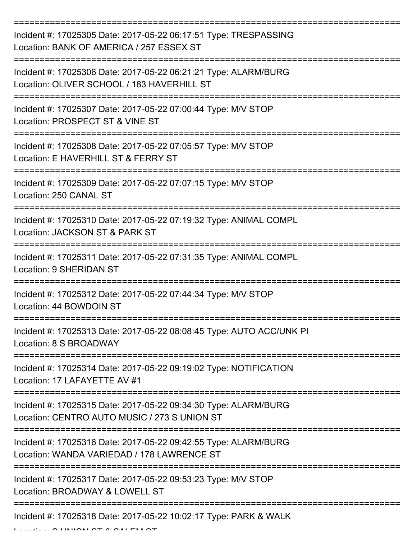| Incident #: 17025305 Date: 2017-05-22 06:17:51 Type: TRESPASSING<br>Location: BANK OF AMERICA / 257 ESSEX ST    |
|-----------------------------------------------------------------------------------------------------------------|
| Incident #: 17025306 Date: 2017-05-22 06:21:21 Type: ALARM/BURG<br>Location: OLIVER SCHOOL / 183 HAVERHILL ST   |
| Incident #: 17025307 Date: 2017-05-22 07:00:44 Type: M/V STOP<br>Location: PROSPECT ST & VINE ST                |
| Incident #: 17025308 Date: 2017-05-22 07:05:57 Type: M/V STOP<br>Location: E HAVERHILL ST & FERRY ST            |
| Incident #: 17025309 Date: 2017-05-22 07:07:15 Type: M/V STOP<br>Location: 250 CANAL ST                         |
| Incident #: 17025310 Date: 2017-05-22 07:19:32 Type: ANIMAL COMPL<br>Location: JACKSON ST & PARK ST             |
| Incident #: 17025311 Date: 2017-05-22 07:31:35 Type: ANIMAL COMPL<br><b>Location: 9 SHERIDAN ST</b>             |
| Incident #: 17025312 Date: 2017-05-22 07:44:34 Type: M/V STOP<br>Location: 44 BOWDOIN ST                        |
| Incident #: 17025313 Date: 2017-05-22 08:08:45 Type: AUTO ACC/UNK PI<br>Location: 8 S BROADWAY                  |
| Incident #: 17025314 Date: 2017-05-22 09:19:02 Type: NOTIFICATION<br>Location: 17 LAFAYETTE AV #1               |
| Incident #: 17025315 Date: 2017-05-22 09:34:30 Type: ALARM/BURG<br>Location: CENTRO AUTO MUSIC / 273 S UNION ST |
| Incident #: 17025316 Date: 2017-05-22 09:42:55 Type: ALARM/BURG<br>Location: WANDA VARIEDAD / 178 LAWRENCE ST   |
| Incident #: 17025317 Date: 2017-05-22 09:53:23 Type: M/V STOP<br>Location: BROADWAY & LOWELL ST                 |
| Incident #: 17025318 Date: 2017-05-22 10:02:17 Type: PARK & WALK                                                |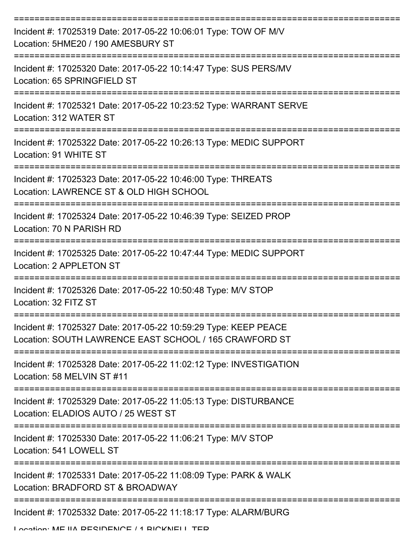| Incident #: 17025319 Date: 2017-05-22 10:06:01 Type: TOW OF M/V<br>Location: 5HME20 / 190 AMESBURY ST                     |
|---------------------------------------------------------------------------------------------------------------------------|
| Incident #: 17025320 Date: 2017-05-22 10:14:47 Type: SUS PERS/MV<br>Location: 65 SPRINGFIELD ST                           |
| Incident #: 17025321 Date: 2017-05-22 10:23:52 Type: WARRANT SERVE<br>Location: 312 WATER ST                              |
| Incident #: 17025322 Date: 2017-05-22 10:26:13 Type: MEDIC SUPPORT<br>Location: 91 WHITE ST                               |
| Incident #: 17025323 Date: 2017-05-22 10:46:00 Type: THREATS<br>Location: LAWRENCE ST & OLD HIGH SCHOOL                   |
| Incident #: 17025324 Date: 2017-05-22 10:46:39 Type: SEIZED PROP<br>Location: 70 N PARISH RD                              |
| Incident #: 17025325 Date: 2017-05-22 10:47:44 Type: MEDIC SUPPORT<br>Location: 2 APPLETON ST                             |
| Incident #: 17025326 Date: 2017-05-22 10:50:48 Type: M/V STOP<br>Location: 32 FITZ ST                                     |
| Incident #: 17025327 Date: 2017-05-22 10:59:29 Type: KEEP PEACE<br>Location: SOUTH LAWRENCE EAST SCHOOL / 165 CRAWFORD ST |
| Incident #: 17025328 Date: 2017-05-22 11:02:12 Type: INVESTIGATION<br>Location: 58 MELVIN ST #11                          |
| Incident #: 17025329 Date: 2017-05-22 11:05:13 Type: DISTURBANCE<br>Location: ELADIOS AUTO / 25 WEST ST                   |
| Incident #: 17025330 Date: 2017-05-22 11:06:21 Type: M/V STOP<br>Location: 541 LOWELL ST                                  |
| Incident #: 17025331 Date: 2017-05-22 11:08:09 Type: PARK & WALK<br>Location: BRADFORD ST & BROADWAY                      |
| Incident #: 17025332 Date: 2017-05-22 11:18:17 Type: ALARM/BURG                                                           |

Location: MEJIA DECIDENCE / 1 BICKNELL TED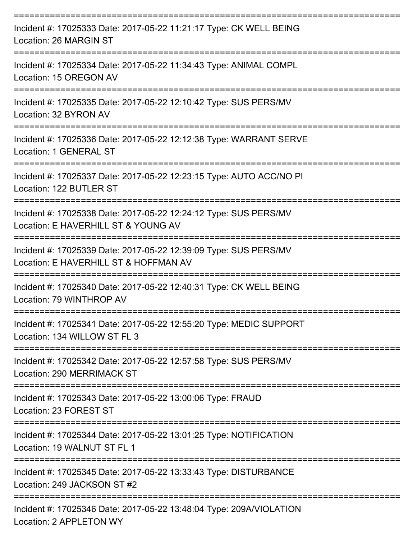| Incident #: 17025333 Date: 2017-05-22 11:21:17 Type: CK WELL BEING<br>Location: 26 MARGIN ST              |
|-----------------------------------------------------------------------------------------------------------|
| Incident #: 17025334 Date: 2017-05-22 11:34:43 Type: ANIMAL COMPL<br>Location: 15 OREGON AV               |
| Incident #: 17025335 Date: 2017-05-22 12:10:42 Type: SUS PERS/MV<br>Location: 32 BYRON AV                 |
| Incident #: 17025336 Date: 2017-05-22 12:12:38 Type: WARRANT SERVE<br>Location: 1 GENERAL ST              |
| Incident #: 17025337 Date: 2017-05-22 12:23:15 Type: AUTO ACC/NO PI<br>Location: 122 BUTLER ST            |
| Incident #: 17025338 Date: 2017-05-22 12:24:12 Type: SUS PERS/MV<br>Location: E HAVERHILL ST & YOUNG AV   |
| Incident #: 17025339 Date: 2017-05-22 12:39:09 Type: SUS PERS/MV<br>Location: E HAVERHILL ST & HOFFMAN AV |
| Incident #: 17025340 Date: 2017-05-22 12:40:31 Type: CK WELL BEING<br>Location: 79 WINTHROP AV            |
| Incident #: 17025341 Date: 2017-05-22 12:55:20 Type: MEDIC SUPPORT<br>Location: 134 WILLOW ST FL 3        |
| Incident #: 17025342 Date: 2017-05-22 12:57:58 Type: SUS PERS/MV<br>Location: 290 MERRIMACK ST            |
| Incident #: 17025343 Date: 2017-05-22 13:00:06 Type: FRAUD<br>Location: 23 FOREST ST                      |
| Incident #: 17025344 Date: 2017-05-22 13:01:25 Type: NOTIFICATION<br>Location: 19 WALNUT ST FL 1          |
| Incident #: 17025345 Date: 2017-05-22 13:33:43 Type: DISTURBANCE<br>Location: 249 JACKSON ST #2           |
| Incident #: 17025346 Date: 2017-05-22 13:48:04 Type: 209A/VIOLATION<br>Location: 2 APPLETON WY            |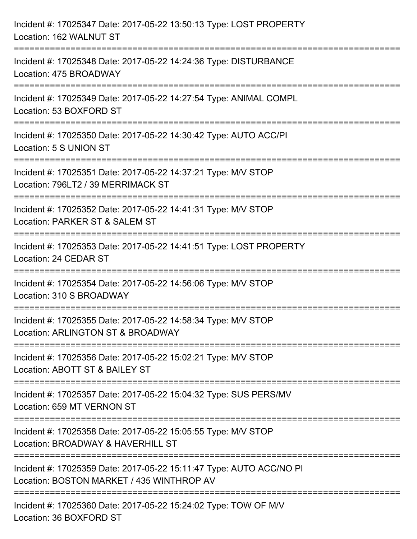| Incident #: 17025347 Date: 2017-05-22 13:50:13 Type: LOST PROPERTY<br>Location: 162 WALNUT ST                                    |
|----------------------------------------------------------------------------------------------------------------------------------|
| Incident #: 17025348 Date: 2017-05-22 14:24:36 Type: DISTURBANCE<br>Location: 475 BROADWAY                                       |
| Incident #: 17025349 Date: 2017-05-22 14:27:54 Type: ANIMAL COMPL<br>Location: 53 BOXFORD ST                                     |
| Incident #: 17025350 Date: 2017-05-22 14:30:42 Type: AUTO ACC/PI<br>Location: 5 S UNION ST                                       |
| Incident #: 17025351 Date: 2017-05-22 14:37:21 Type: M/V STOP<br>Location: 796LT2 / 39 MERRIMACK ST                              |
| Incident #: 17025352 Date: 2017-05-22 14:41:31 Type: M/V STOP<br>Location: PARKER ST & SALEM ST                                  |
| Incident #: 17025353 Date: 2017-05-22 14:41:51 Type: LOST PROPERTY<br>Location: 24 CEDAR ST                                      |
| Incident #: 17025354 Date: 2017-05-22 14:56:06 Type: M/V STOP<br>Location: 310 S BROADWAY                                        |
| Incident #: 17025355 Date: 2017-05-22 14:58:34 Type: M/V STOP<br>Location: ARLINGTON ST & BROADWAY                               |
| -----------------------------<br>Incident #: 17025356 Date: 2017-05-22 15:02:21 Type: M/V STOP<br>Location: ABOTT ST & BAILEY ST |
| Incident #: 17025357 Date: 2017-05-22 15:04:32 Type: SUS PERS/MV<br>Location: 659 MT VERNON ST                                   |
| Incident #: 17025358 Date: 2017-05-22 15:05:55 Type: M/V STOP<br>Location: BROADWAY & HAVERHILL ST                               |
| Incident #: 17025359 Date: 2017-05-22 15:11:47 Type: AUTO ACC/NO PI<br>Location: BOSTON MARKET / 435 WINTHROP AV                 |
| ====================<br>Incident #: 17025360 Date: 2017-05-22 15:24:02 Type: TOW OF M/V<br>Location: 36 BOXFORD ST               |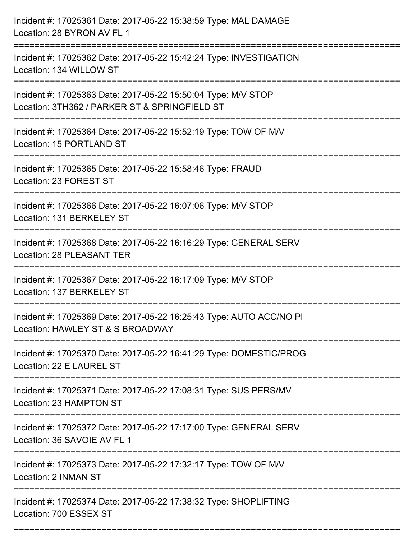| Incident #: 17025361 Date: 2017-05-22 15:38:59 Type: MAL DAMAGE<br>Location: 28 BYRON AV FL 1                  |
|----------------------------------------------------------------------------------------------------------------|
| Incident #: 17025362 Date: 2017-05-22 15:42:24 Type: INVESTIGATION<br>Location: 134 WILLOW ST                  |
| Incident #: 17025363 Date: 2017-05-22 15:50:04 Type: M/V STOP<br>Location: 3TH362 / PARKER ST & SPRINGFIELD ST |
| Incident #: 17025364 Date: 2017-05-22 15:52:19 Type: TOW OF M/V<br>Location: 15 PORTLAND ST                    |
| Incident #: 17025365 Date: 2017-05-22 15:58:46 Type: FRAUD<br>Location: 23 FOREST ST                           |
| Incident #: 17025366 Date: 2017-05-22 16:07:06 Type: M/V STOP<br>Location: 131 BERKELEY ST                     |
| Incident #: 17025368 Date: 2017-05-22 16:16:29 Type: GENERAL SERV<br>Location: 28 PLEASANT TER                 |
| Incident #: 17025367 Date: 2017-05-22 16:17:09 Type: M/V STOP<br>Location: 137 BERKELEY ST                     |
| Incident #: 17025369 Date: 2017-05-22 16:25:43 Type: AUTO ACC/NO PI<br>Location: HAWLEY ST & S BROADWAY        |
| Incident #: 17025370 Date: 2017-05-22 16:41:29 Type: DOMESTIC/PROG<br>Location: 22 E LAUREL ST                 |
| Incident #: 17025371 Date: 2017-05-22 17:08:31 Type: SUS PERS/MV<br>Location: 23 HAMPTON ST                    |
| Incident #: 17025372 Date: 2017-05-22 17:17:00 Type: GENERAL SERV<br>Location: 36 SAVOIE AV FL 1               |
| Incident #: 17025373 Date: 2017-05-22 17:32:17 Type: TOW OF M/V<br>Location: 2 INMAN ST                        |
| Incident #: 17025374 Date: 2017-05-22 17:38:32 Type: SHOPLIFTING<br>Location: 700 ESSEX ST                     |

===========================================================================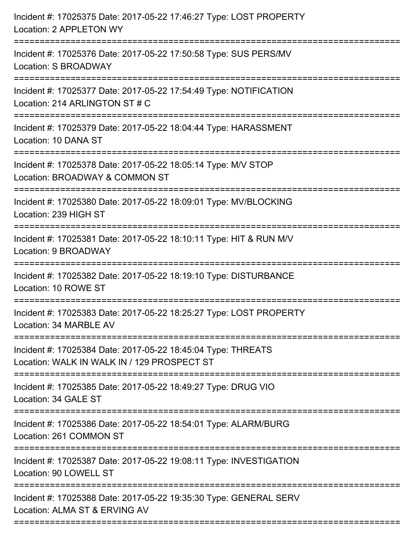| Incident #: 17025375 Date: 2017-05-22 17:46:27 Type: LOST PROPERTY<br>Location: 2 APPLETON WY                                                        |
|------------------------------------------------------------------------------------------------------------------------------------------------------|
| :=================================<br>Incident #: 17025376 Date: 2017-05-22 17:50:58 Type: SUS PERS/MV<br>Location: S BROADWAY<br>------------------ |
| Incident #: 17025377 Date: 2017-05-22 17:54:49 Type: NOTIFICATION<br>Location: 214 ARLINGTON ST # C                                                  |
| Incident #: 17025379 Date: 2017-05-22 18:04:44 Type: HARASSMENT<br>Location: 10 DANA ST<br>:===================================                      |
| Incident #: 17025378 Date: 2017-05-22 18:05:14 Type: M/V STOP<br>Location: BROADWAY & COMMON ST                                                      |
| Incident #: 17025380 Date: 2017-05-22 18:09:01 Type: MV/BLOCKING<br>Location: 239 HIGH ST                                                            |
| Incident #: 17025381 Date: 2017-05-22 18:10:11 Type: HIT & RUN M/V<br>Location: 9 BROADWAY                                                           |
| Incident #: 17025382 Date: 2017-05-22 18:19:10 Type: DISTURBANCE<br>Location: 10 ROWE ST                                                             |
| Incident #: 17025383 Date: 2017-05-22 18:25:27 Type: LOST PROPERTY<br>Location: 34 MARBLE AV                                                         |
| Incident #: 17025384 Date: 2017-05-22 18:45:04 Type: THREATS<br>Location: WALK IN WALK IN / 129 PROSPECT ST                                          |
| Incident #: 17025385 Date: 2017-05-22 18:49:27 Type: DRUG VIO<br>Location: 34 GALE ST                                                                |
| Incident #: 17025386 Date: 2017-05-22 18:54:01 Type: ALARM/BURG<br>Location: 261 COMMON ST                                                           |
| Incident #: 17025387 Date: 2017-05-22 19:08:11 Type: INVESTIGATION<br>Location: 90 LOWELL ST                                                         |
| Incident #: 17025388 Date: 2017-05-22 19:35:30 Type: GENERAL SERV<br>Location: ALMA ST & ERVING AV                                                   |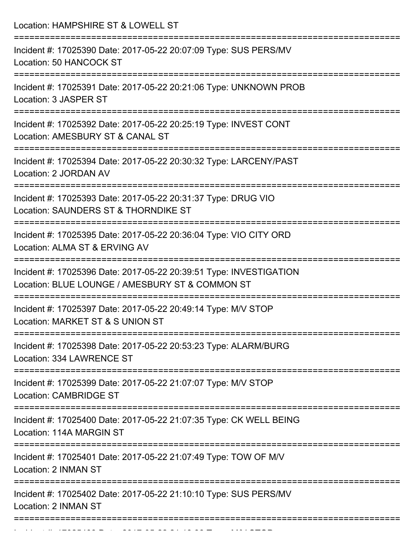| Location: HAMPSHIRE ST & LOWELL ST                                                                                                           |
|----------------------------------------------------------------------------------------------------------------------------------------------|
| Incident #: 17025390 Date: 2017-05-22 20:07:09 Type: SUS PERS/MV<br>Location: 50 HANCOCK ST                                                  |
| Incident #: 17025391 Date: 2017-05-22 20:21:06 Type: UNKNOWN PROB<br>Location: 3 JASPER ST                                                   |
| Incident #: 17025392 Date: 2017-05-22 20:25:19 Type: INVEST CONT<br>Location: AMESBURY ST & CANAL ST<br>:=================================== |
| Incident #: 17025394 Date: 2017-05-22 20:30:32 Type: LARCENY/PAST<br>Location: 2 JORDAN AV                                                   |
| Incident #: 17025393 Date: 2017-05-22 20:31:37 Type: DRUG VIO<br>Location: SAUNDERS ST & THORNDIKE ST                                        |
| Incident #: 17025395 Date: 2017-05-22 20:36:04 Type: VIO CITY ORD<br>Location: ALMA ST & ERVING AV                                           |
| Incident #: 17025396 Date: 2017-05-22 20:39:51 Type: INVESTIGATION<br>Location: BLUE LOUNGE / AMESBURY ST & COMMON ST<br>=================   |
| Incident #: 17025397 Date: 2017-05-22 20:49:14 Type: M/V STOP<br>Location: MARKET ST & S UNION ST                                            |
| Incident #: 17025398 Date: 2017-05-22 20:53:23 Type: ALARM/BURG<br>Location: 334 LAWRENCE ST                                                 |
| Incident #: 17025399 Date: 2017-05-22 21:07:07 Type: M/V STOP<br><b>Location: CAMBRIDGE ST</b><br>-----------------------------------        |
| Incident #: 17025400 Date: 2017-05-22 21:07:35 Type: CK WELL BEING<br>Location: 114A MARGIN ST                                               |
| Incident #: 17025401 Date: 2017-05-22 21:07:49 Type: TOW OF M/V<br>Location: 2 INMAN ST                                                      |
| Incident #: 17025402 Date: 2017-05-22 21:10:10 Type: SUS PERS/MV<br>Location: 2 INMAN ST                                                     |
|                                                                                                                                              |

Incident #: 17025403 Date: 2017 05 22 21:18:28 Type: Microsoft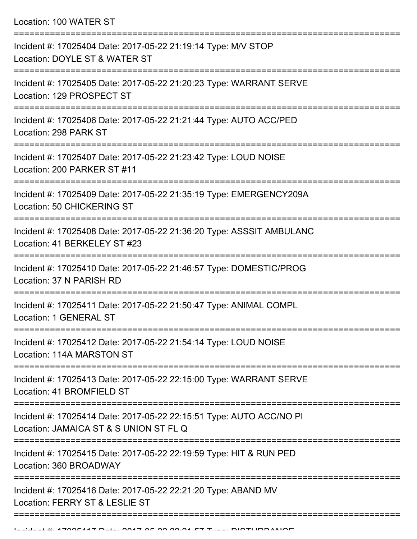Location: 100 WATER ST

| Incident #: 17025404 Date: 2017-05-22 21:19:14 Type: M/V STOP<br>Location: DOYLE ST & WATER ST                |
|---------------------------------------------------------------------------------------------------------------|
| Incident #: 17025405 Date: 2017-05-22 21:20:23 Type: WARRANT SERVE<br>Location: 129 PROSPECT ST               |
| Incident #: 17025406 Date: 2017-05-22 21:21:44 Type: AUTO ACC/PED<br>Location: 298 PARK ST                    |
| Incident #: 17025407 Date: 2017-05-22 21:23:42 Type: LOUD NOISE<br>Location: 200 PARKER ST #11                |
| Incident #: 17025409 Date: 2017-05-22 21:35:19 Type: EMERGENCY209A<br><b>Location: 50 CHICKERING ST</b>       |
| Incident #: 17025408 Date: 2017-05-22 21:36:20 Type: ASSSIT AMBULANC<br>Location: 41 BERKELEY ST #23          |
| Incident #: 17025410 Date: 2017-05-22 21:46:57 Type: DOMESTIC/PROG<br>Location: 37 N PARISH RD                |
| Incident #: 17025411 Date: 2017-05-22 21:50:47 Type: ANIMAL COMPL<br>Location: 1 GENERAL ST                   |
| Incident #: 17025412 Date: 2017-05-22 21:54:14 Type: LOUD NOISE<br>Location: 114A MARSTON ST                  |
| Incident #: 17025413 Date: 2017-05-22 22:15:00 Type: WARRANT SERVE<br>Location: 41 BROMFIELD ST               |
| Incident #: 17025414 Date: 2017-05-22 22:15:51 Type: AUTO ACC/NO PI<br>Location: JAMAICA ST & S UNION ST FL Q |
| Incident #: 17025415 Date: 2017-05-22 22:19:59 Type: HIT & RUN PED<br>Location: 360 BROADWAY                  |
| Incident #: 17025416 Date: 2017-05-22 22:21:20 Type: ABAND MV<br>Location: FERRY ST & LESLIE ST               |
|                                                                                                               |